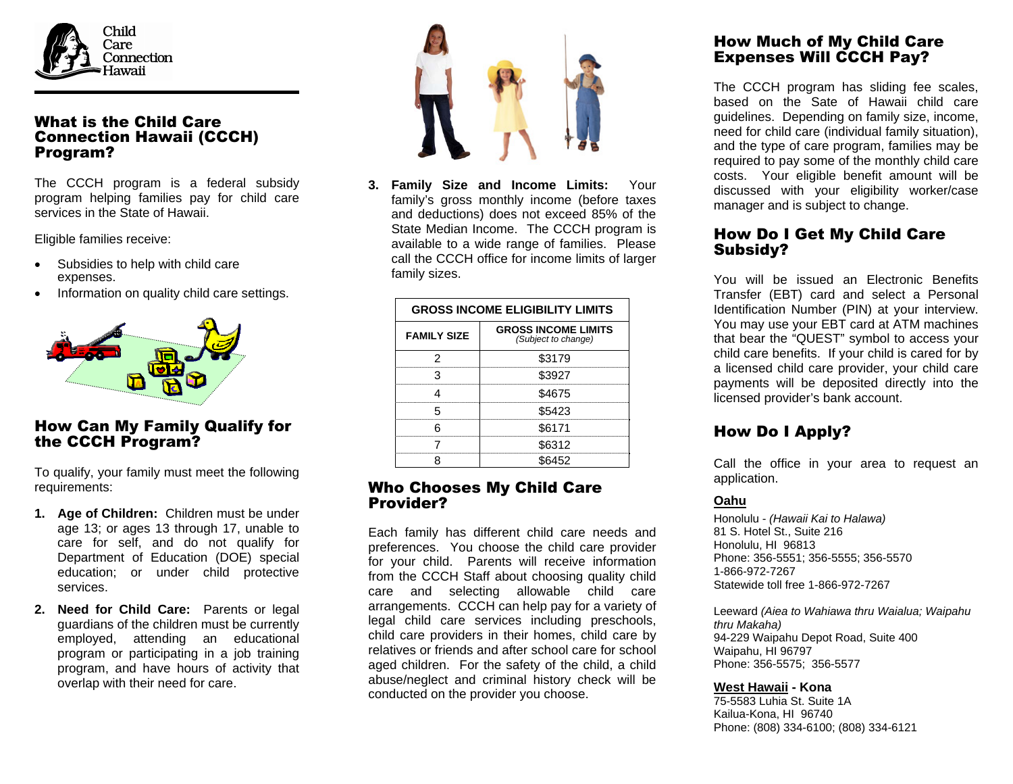

### What is the Child Care Connection Hawaii (CCCH) Program?

The CCCH program is a federal subsidy program helping families pay for child care services in the State of Hawaii.

Eligible families receive:

- Subsidies to help with child care expenses.
- Information on quality child care settings.



# How Can My Family Qualify for the CCCH Program?

To qualify, your family must meet the following requirements:

- **1. Age of Children:** Children must be under age 13; or ages 13 through 17, unable to care for self, and do not qualify for Department of Education (DOE) special education; or under child protective services.
- **2. Need for Child Care:** Parents or legal guardians of the children must be currently employed, attending an educational program or participating in a job training program, and have hours of activity that overlap with their need for care.



**3. Family Size and Income Limits:** Your family's gross monthly income (before taxes and deductions) does not exceed 85% of the State Median Income. The CCCH program is available to a wide range of families. Please call the CCCH office for income limits of larger family sizes.

| <b>GROSS INCOME ELIGIBILITY LIMITS</b> |                                                   |  |
|----------------------------------------|---------------------------------------------------|--|
| <b>FAMILY SIZE</b>                     | <b>GROSS INCOME LIMITS</b><br>(Subject to change) |  |
|                                        | \$3179                                            |  |
|                                        | \$3927                                            |  |
|                                        | \$4675                                            |  |
|                                        | \$5423                                            |  |
|                                        | \$6171                                            |  |
|                                        | \$6312                                            |  |
|                                        |                                                   |  |

#### Who Chooses My Child Care Provider?

Each family has different child care needs and preferences. You choose the child care provider for your child. Parents will receive information from the CCCH Staff about choosing quality child care and selecting allowable child care arrangements. CCCH can help pay for a variety of legal child care services including preschools, child care providers in their homes, child care by relatives or friends and after school care for school aged children. For the safety of the child, a child abuse/neglect and criminal history check will be conducted on the provider you choose.

## How Much of My Child Care Expenses Will CCCH Pay?

The CCCH program has sliding fee scales, based on the Sate of Hawaii child care guidelines. Depending on family size, income, need for child care (individual family situation), and the type of care program, families may be required to pay some of the monthly child care costs. Your eligible benefit amount will be discussed with your eligibility worker/case manager and is subject to change.

## How Do I Get My Child Care Subsidy?

You will be issued an Electronic Benefits Transfer (EBT) card and select a Personal Identification Number (PIN) at your interview. You may use your EBT card at ATM machines that bear the "QUEST" symbol to access your child care benefits. If your child is cared for by a licensed child care provider, your child care payments will be deposited directly into the licensed provider's bank account.

# How Do I Apply?

Call the office in your area to request an application.

#### **Oahu**

Honolulu - *(Hawaii Kai to Halawa)*  81 S. Hotel St., Suite 216 Honolulu, HI 96813 Phone: 356-5551; 356-5555; 356-5570 1-866-972-7267 Statewide toll free 1-866-972-7267

Leeward *(Aiea to Wahiawa thru Waialua; Waipahu thru Makaha)*  94-229 Waipahu Depot Road, Suite 400 Waipahu, HI 96797 Phone: 356-5575; 356-5577

#### **West Hawaii - Kona**

75-5583 Luhia St. Suite 1A Kailua-Kona, HI 96740 Phone: (808) 334-6100; (808) 334-6121